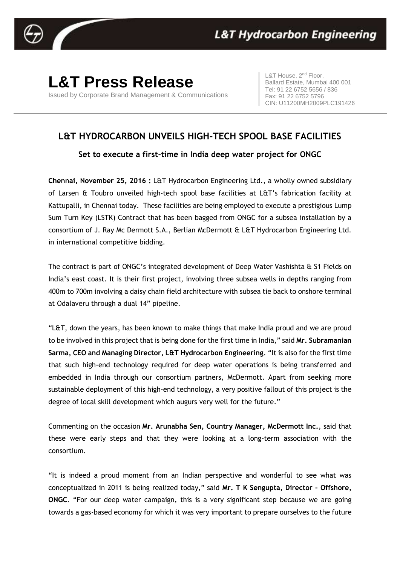

## **L&T Press Release**

Issued by Corporate Brand Management & Communications

L&T House, 2<sup>nd</sup> Floor, Ballard Estate, Mumbai 400 001 Tel: 91 22 6752 5656 / 836 Fax: 91 22 6752 5796 CIN: U11200MH2009PLC191426

## **L&T HYDROCARBON UNVEILS HIGH-TECH SPOOL BASE FACILITIES**

**Set to execute a first-time in India deep water project for ONGC**

**Chennai, November 25, 2016 :** L&T Hydrocarbon Engineering Ltd., a wholly owned subsidiary of Larsen & Toubro unveiled high-tech spool base facilities at L&T's fabrication facility at Kattupalli, in Chennai today. These facilities are being employed to execute a prestigious Lump Sum Turn Key (LSTK) Contract that has been bagged from ONGC for a subsea installation by a consortium of J. Ray Mc Dermott S.A., Berlian McDermott & L&T Hydrocarbon Engineering Ltd. in international competitive bidding.

The contract is part of ONGC's integrated development of Deep Water Vashishta & S1 Fields on India's east coast. It is their first project, involving three subsea wells in depths ranging from 400m to 700m involving a daisy chain field architecture with subsea tie back to onshore terminal at Odalaveru through a dual 14" pipeline.

"L&T, down the years, has been known to make things that make India proud and we are proud to be involved in this project that is being done for the first time in India," said **Mr. Subramanian Sarma, CEO and Managing Director, L&T Hydrocarbon Engineering**. "It is also for the first time that such high-end technology required for deep water operations is being transferred and embedded in India through our consortium partners, McDermott. Apart from seeking more sustainable deployment of this high-end technology, a very positive fallout of this project is the degree of local skill development which augurs very well for the future."

Commenting on the occasion **Mr. Arunabha Sen, Country Manager, McDermott Inc.**, said that these were early steps and that they were looking at a long-term association with the consortium.

"It is indeed a proud moment from an Indian perspective and wonderful to see what was conceptualized in 2011 is being realized today," said **Mr. T K Sengupta, Director – Offshore, ONGC**. "For our deep water campaign, this is a very significant step because we are going towards a gas-based economy for which it was very important to prepare ourselves to the future